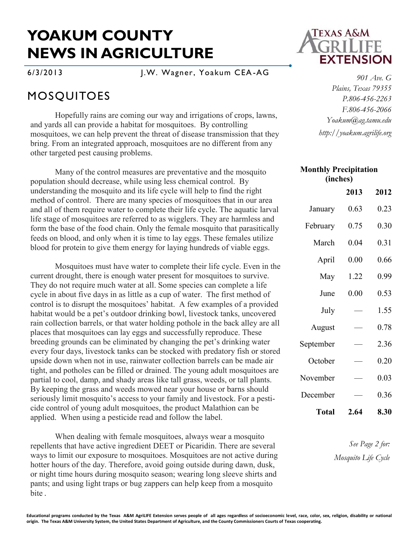## **YOAKUM COUNTY NEWS IN AGRICULTURE**

6/3/2013 J.W. Wagner, Yoakum CEA-AG

## MOSQUITOES

Hopefully rains are coming our way and irrigations of crops, lawns, and yards all can provide a habitat for mosquitoes. By controlling mosquitoes, we can help prevent the threat of disease transmission that they bring. From an integrated approach, mosquitoes are no different from any other targeted pest causing problems.

Many of the control measures are preventative and the mosquito population should decrease, while using less chemical control. By understanding the mosquito and its life cycle will help to find the right method of control. There are many species of mosquitoes that in our area and all of them require water to complete their life cycle. The aquatic larval life stage of mosquitoes are referred to as wigglers. They are harmless and form the base of the food chain. Only the female mosquito that parasitically feeds on blood, and only when it is time to lay eggs. These females utilize blood for protein to give them energy for laying hundreds of viable eggs.

Mosquitoes must have water to complete their life cycle. Even in the current drought, there is enough water present for mosquitoes to survive. They do not require much water at all. Some species can complete a life cycle in about five days in as little as a cup of water. The first method of control is to disrupt the mosquitoes' habitat. A few examples of a provided habitat would be a pet's outdoor drinking bowl, livestock tanks, uncovered rain collection barrels, or that water holding pothole in the back alley are all places that mosquitoes can lay eggs and successfully reproduce. These breeding grounds can be eliminated by changing the pet's drinking water every four days, livestock tanks can be stocked with predatory fish or stored upside down when not in use, rainwater collection barrels can be made air tight, and potholes can be filled or drained. The young adult mosquitoes are partial to cool, damp, and shady areas like tall grass, weeds, or tall plants. By keeping the grass and weeds mowed near your house or barns should seriously limit mosquito's access to your family and livestock. For a pesticide control of young adult mosquitoes, the product Malathion can be applied. When using a pesticide read and follow the label.

When dealing with female mosquitoes, always wear a mosquito repellents that have active ingredient DEET or Picaridin. There are several ways to limit our exposure to mosquitoes. Mosquitoes are not active during hotter hours of the day. Therefore, avoid going outside during dawn, dusk, or night time hours during mosquito season; wearing long sleeve shirts and pants; and using light traps or bug zappers can help keep from a mosquito bite .



*901 Ave. G Plains, Texas 79355 P.806-456-2263 F.806-456-2066 Yoakum@ag.tamu.edu http://yoakum.agrilife.org*

| <b>Monthly Precipitation</b><br>(inches) |      |      |
|------------------------------------------|------|------|
|                                          | 2013 | 2012 |
| January                                  | 0.63 | 0.23 |
| February                                 | 0.75 | 0.30 |
| March                                    | 0.04 | 0.31 |
| April                                    | 0.00 | 0.66 |
| May                                      | 1.22 | 0.99 |
| June                                     | 0.00 | 0.53 |
| July                                     |      | 1.55 |
| August                                   |      | 0.78 |
| September                                |      | 2.36 |
| October                                  |      | 0.20 |
| November                                 |      | 0.03 |
| December                                 |      | 0.36 |
| <b>Total</b>                             | 2.64 | 8.30 |

*See Page 2 for: Mosquito Life Cycle*